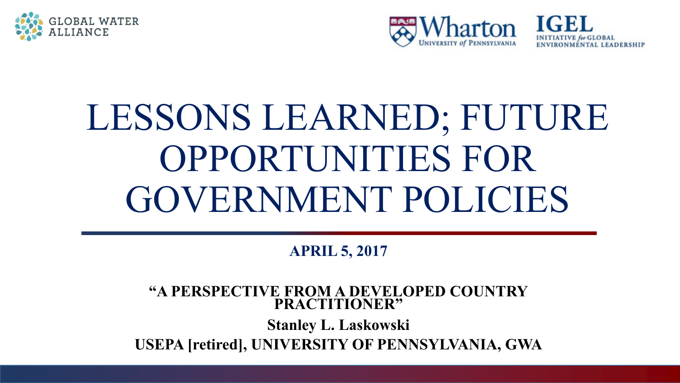



for **GLOBAL** RONMENTAL LEADERSHIP

# LESSONS LEARNED; FUTURE OPPORTUNITIES FOR GOVERNMENT POLICIES

**APRIL 5, 2017** 

**"A PERSPECTIVE FROM A DEVELOPED COUNTRY PRACTITIONER" Stanley L. Laskowski USEPA [retired], UNIVERSITY OF PENNSYLVANIA, GWA**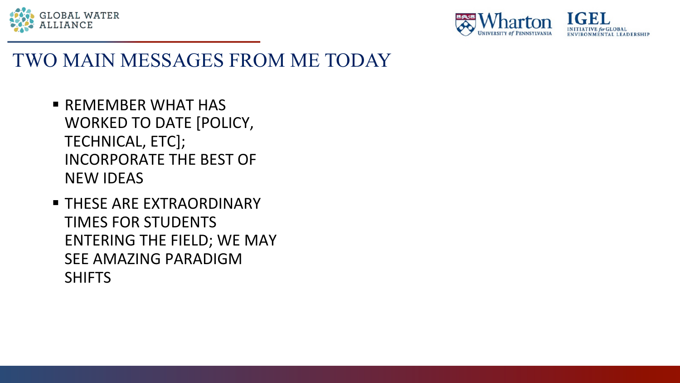



## TWO MAIN MESSAGES FROM ME TODAY

- **Example REMEMBER WHAT HAS** WORKED TO DATE [POLICY, TECHNICAL, ETC]; **INCORPORATE THE BEST OF** NEW IDEAS
- **FILESE ARE EXTRAORDINARY** TIMES FOR STUDENTS **ENTERING THE FIELD; WE MAY** SEE AMAZING PARADIGM **SHIFTS**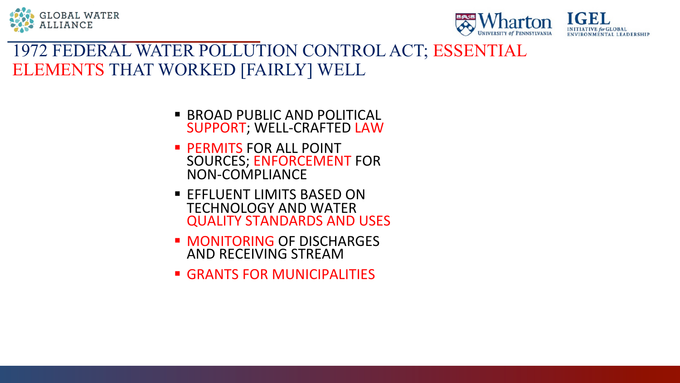



#### 1972 FEDERAL WATER POLLUTION CONTROL ACT; ESSENTIAL ELEMENTS THAT WORKED [FAIRLY] WELL

- § BROAD PUBLIC AND POLITICAL SUPPORT; WELL-CRAFTED LAW
- **PERMITS FOR ALL POINT** SOURCES; ENFORCEMENT FOR NON-COMPLIANCE
- EFFLUENT LIMITS BASED ON TECHNOLOGY AND WATER **QUALITY STANDARDS AND USES**
- MONITORING OF DISCHARGES AND RECEIVING STREAM
- GRANTS FOR MUNICIPALITIES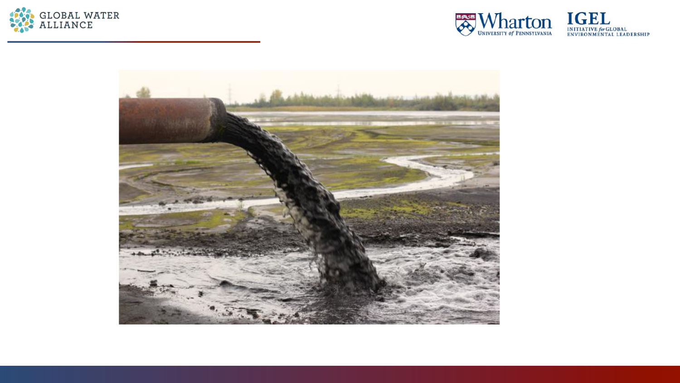



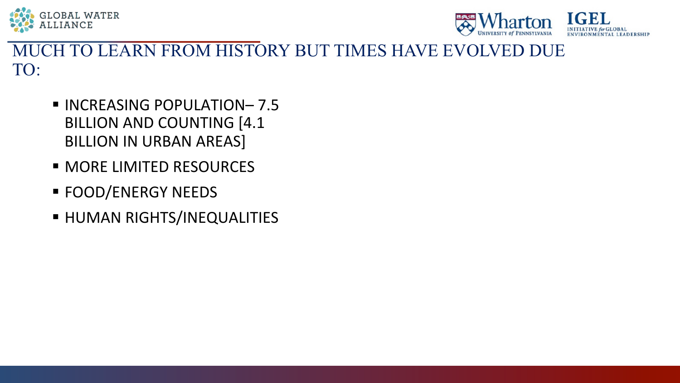



#### MUCH TO LEARN FROM HISTORY BUT TIMES HAVE EVOLVED DUE TO:

- **INCREASING POPULATION– 7.5 BILLION AND COUNTING [4.1 BILLION IN URBAN AREAS]**
- **EXPORE LIMITED RESOURCES**
- § FOOD/ENERGY NEEDS
- **E** HUMAN RIGHTS/INEQUALITIES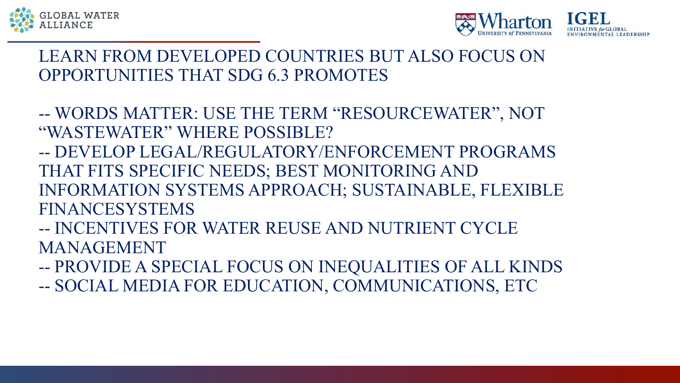



#### LEARN FROM DEVELOPED COUNTRIES BUT ALSO FOCUS ON OPPORTUNITIES THAT SDG 6.3 PROMOTES

-- WORDS MATTER: USE THE TERM "RESOURCEWATER", NOT "WASTEWATER" WHERE POSSIBLE?

-- DEVELOP LEGAL/REGULATORY/ENFORCEMENT PROGRAMS THAT FITS SPECIFIC NEEDS; BEST MONITORING AND INFORMATION SYSTEMS APPROACH; SUSTAINABLE, FLEXIBLE FINANCESYSTEMS

-- INCENTIVES FOR WATER REUSE AND NUTRIENT CYCLE MANAGEMENT

- -- PROVIDE A SPECIAL FOCUS ON INEQUALITIES OF ALL KINDS
- -- SOCIAL MEDIA FOR EDUCATION, COMMUNICATIONS, ETC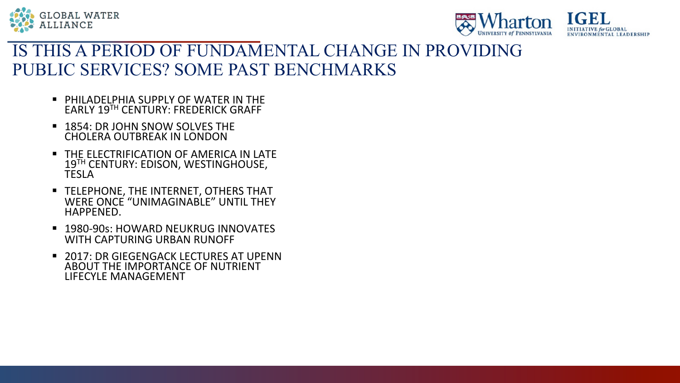



#### IS THIS A PERIOD OF FUNDAMENTAL CHANGE IN PROVIDING PUBLIC SERVICES? SOME PAST BENCHMARKS

- **E** PHILADELPHIA SUPPLY OF WATER IN THE EARLY 19<sup>TH</sup> CENTURY: FREDERICK GRAFF
- 1854: DR JOHN SNOW SOLVES THE CHOLERA OUTBREAK IN LONDON
- **F** THE ELECTRIFICATION OF AMERICA IN LATE 19TH CENTURY: EDISON, WESTINGHOUSE, **TESLA**
- **FIGURE:** THE INTERNET, OTHERS THAT WERE ONCE "UNIMAGINABLE" UNTIL THEY HAPPENED.
- 1980-90s: HOWARD NFUKRUG INNOVATES WITH CAPTURING URBAN RUNOFF
- 2017: DR GIEGENGACK LECTURES AT UPENN ABOUT THE IMPORTANCE OF NUTRIENT LIFECYLE MANAGEMENT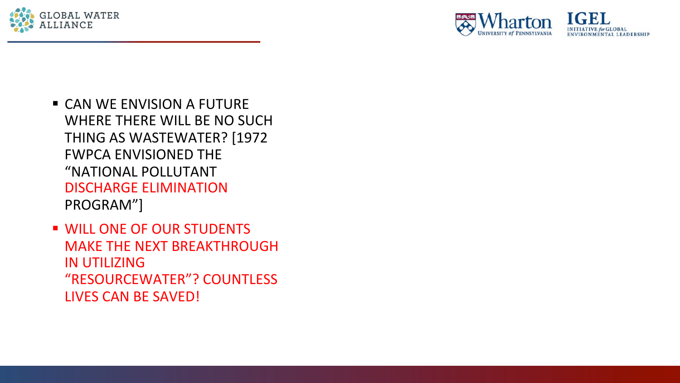



- **Example ENVISION A FUTURE** WHERE THERE WILL BE NO SUCH THING AS WASTEWATER? [1972 FWPCA ENVISIONED THE "NATIONAL POLLUTANT DISCHARGE ELIMINATION PROGRAM"]
- WILL ONE OF OUR STUDENTS MAKE THE NEXT BREAKTHROUGH IN UTILIZING "RESOURCEWATER"? COUNTLESS LIVES CAN BE SAVED!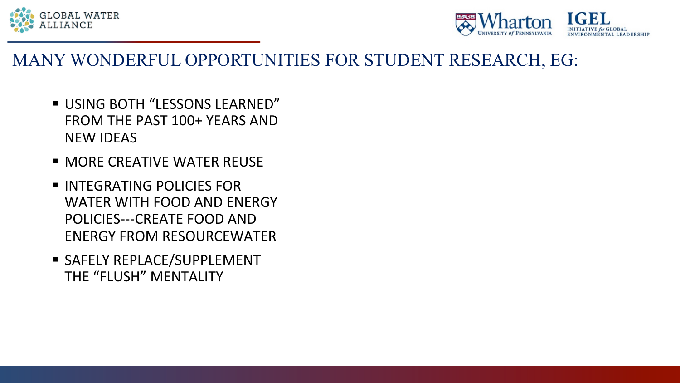



### MANY WONDERFUL OPPORTUNITIES FOR STUDENT RESEARCH, EG:

- **E** USING BOTH "LESSONS LEARNED" FROM THE PAST 100+ YEARS AND NEW IDEAS
- **EXAMPLE CREATIVE WATER REUSE**
- **INTEGRATING POLICIES FOR** WATER WITH FOOD AND ENERGY POLICIES---CREATE FOOD AND ENERGY FROM RESOURCEWATER
- **SAFELY REPLACE/SUPPLEMENT** THE "FLUSH" MENTALITY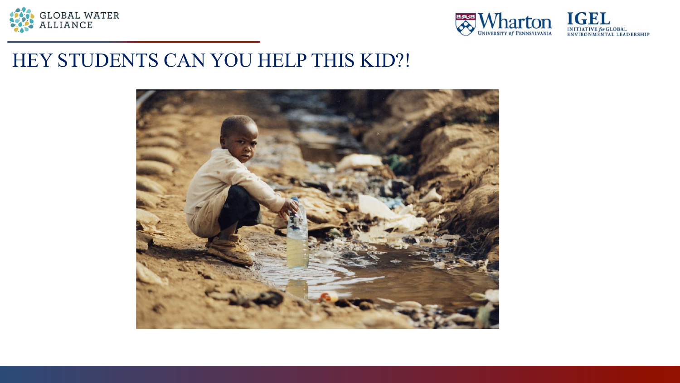



## HEY STUDENTS CAN YOU HELP THIS KID?!

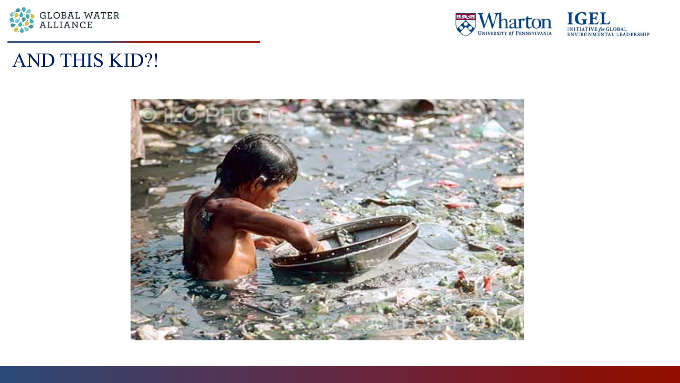



## AND THIS KID?!

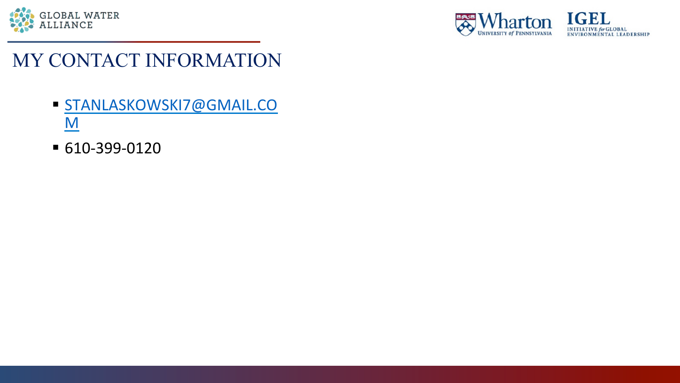



## MY CONTACT INFORMATION

- § STANLASKOWSKI7@GMAIL.CO M
- § 610-399-0120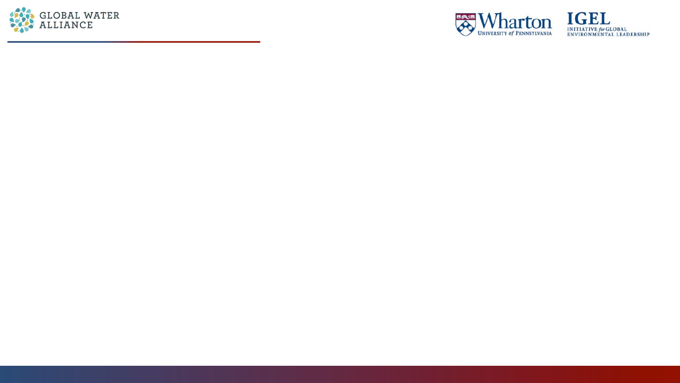

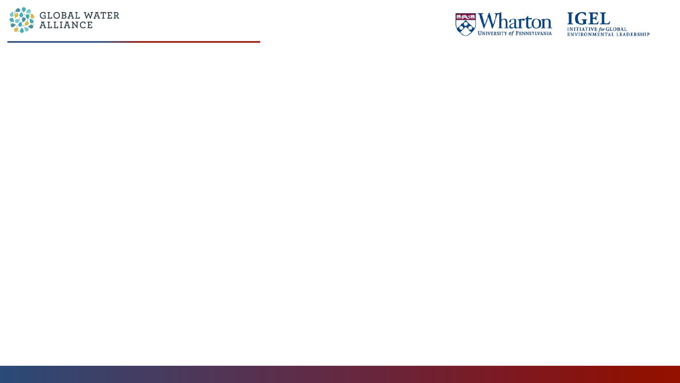

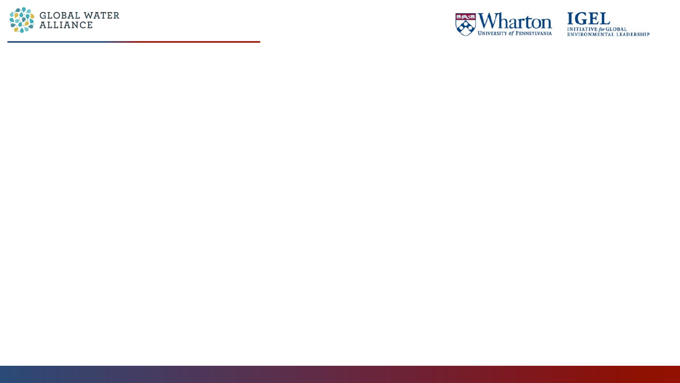

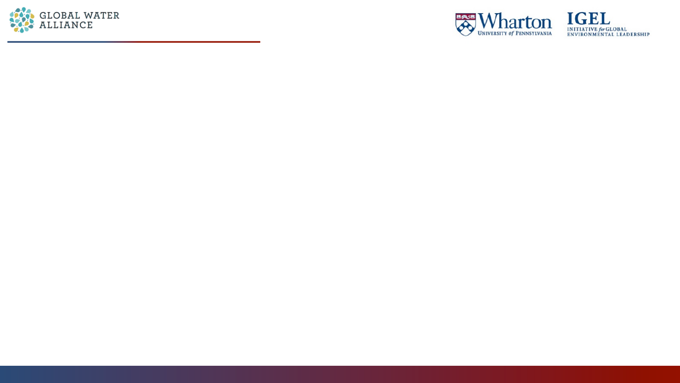